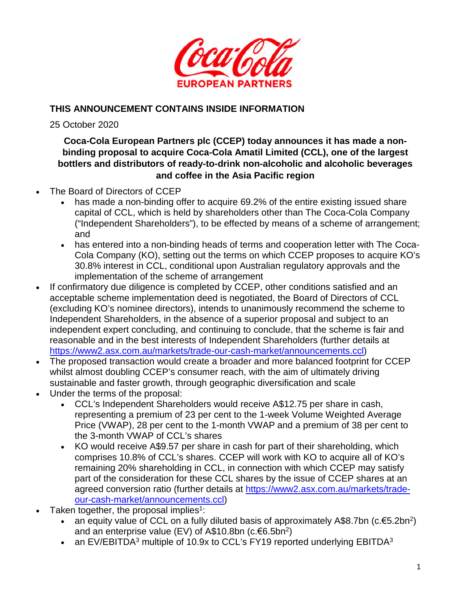

# **THIS ANNOUNCEMENT CONTAINS INSIDE INFORMATION**

25 October 2020

# **Coca-Cola European Partners plc (CCEP) today announces it has made a nonbinding proposal to acquire Coca-Cola Amatil Limited (CCL), one of the largest bottlers and distributors of ready-to-drink non-alcoholic and alcoholic beverages and coffee in the Asia Pacific region**

- The Board of Directors of CCEP
	- has made a non-binding offer to acquire 69.2% of the entire existing issued share capital of CCL, which is held by shareholders other than The Coca-Cola Company ("Independent Shareholders"), to be effected by means of a scheme of arrangement; and
	- has entered into a non-binding heads of terms and cooperation letter with The Coca-Cola Company (KO), setting out the terms on which CCEP proposes to acquire KO's 30.8% interest in CCL, conditional upon Australian regulatory approvals and the implementation of the scheme of arrangement
- If confirmatory due diligence is completed by CCEP, other conditions satisfied and an acceptable scheme implementation deed is negotiated, the Board of Directors of CCL (excluding KO's nominee directors), intends to unanimously recommend the scheme to Independent Shareholders, in the absence of a superior proposal and subject to an independent expert concluding, and continuing to conclude, that the scheme is fair and reasonable and in the best interests of Independent Shareholders (further details at https://www2.asx.com.au/markets/trade-our-cash-market/announcements.ccl)
- The proposed transaction would create a broader and more balanced footprint for CCEP whilst almost doubling CCEP's consumer reach, with the aim of ultimately driving sustainable and faster growth, through geographic diversification and scale
- Under the terms of the proposal:
	- CCL's Independent Shareholders would receive A\$12.75 per share in cash, representing a premium of 23 per cent to the 1-week Volume Weighted Average Price (VWAP), 28 per cent to the 1-month VWAP and a premium of 38 per cent to the 3-month VWAP of CCL's shares
	- KO would receive A\$9.57 per share in cash for part of their shareholding, which comprises 10.8% of CCL's shares. CCEP will work with KO to acquire all of KO's remaining 20% shareholding in CCL, in connection with which CCEP may satisfy part of the consideration for these CCL shares by the issue of CCEP shares at an agreed conversion ratio (further details at https://www2.asx.com.au/markets/tradeour-cash-market/announcements.ccl)
- Taken together, the proposal implies<sup>1</sup>:
	- an equity value of CCL on a fully diluted basis of approximately A\$8.7bn (c.€5.2bn<sup>2</sup>) and an enterprise value (EV) of A\$10.8bn (c. $6.5$ bn<sup>2</sup>)
	- an EV/EBITDA<sup>3</sup> multiple of 10.9x to CCL's FY19 reported underlying EBITDA<sup>3</sup>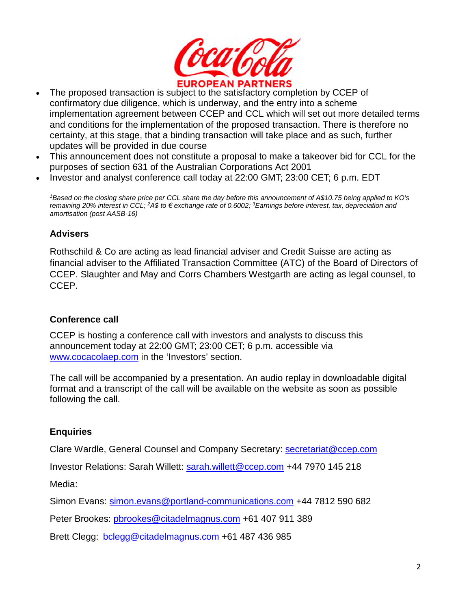

- The proposed transaction is subject to the satisfactory completion by CCEP of confirmatory due diligence, which is underway, and the entry into a scheme implementation agreement between CCEP and CCL which will set out more detailed terms and conditions for the implementation of the proposed transaction. There is therefore no certainty, at this stage, that a binding transaction will take place and as such, further updates will be provided in due course
- This announcement does not constitute a proposal to make a takeover bid for CCL for the purposes of section 631 of the Australian Corporations Act 2001
- Investor and analyst conference call today at 22:00 GMT; 23:00 CET; 6 p.m. EDT

*<sup>1</sup>Based on the closing share price per CCL share the day before this announcement of A\$10.75 being applied to KO's remaining 20% interest in CCL; <sup>2</sup>A\$ to € exchange rate of 0.6002; <sup>3</sup>Earnings before interest, tax, depreciation and amortisation (post AASB-16)* 

#### **Advisers**

Rothschild & Co are acting as lead financial adviser and Credit Suisse are acting as financial adviser to the Affiliated Transaction Committee (ATC) of the Board of Directors of CCEP. Slaughter and May and Corrs Chambers Westgarth are acting as legal counsel, to CCEP.

#### **Conference call**

CCEP is hosting a conference call with investors and analysts to discuss this announcement today at 22:00 GMT; 23:00 CET; 6 p.m. accessible via www.cocacolaep.com in the 'Investors' section.

The call will be accompanied by a presentation. An audio replay in downloadable digital format and a transcript of the call will be available on the website as soon as possible following the call.

#### **Enquiries**

Clare Wardle, General Counsel and Company Secretary: secretariat@ccep.com

Investor Relations: Sarah Willett: sarah.willett@ccep.com +44 7970 145 218

Media:

Simon Evans: simon.evans@portland-communications.com +44 7812 590 682

Peter Brookes: pbrookes@citadelmagnus.com +61 407 911 389

Brett Clegg: bclegg@citadelmagnus.com +61 487 436 985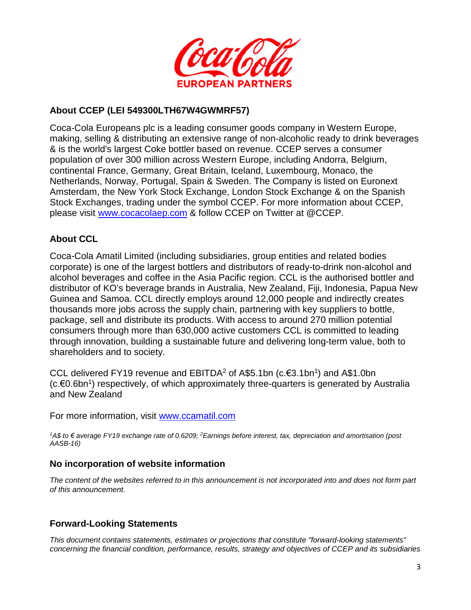

#### **About CCEP (LEI 549300LTH67W4GWMRF57)**

Coca-Cola Europeans plc is a leading consumer goods company in Western Europe, making, selling & distributing an extensive range of non-alcoholic ready to drink beverages & is the world's largest Coke bottler based on revenue. CCEP serves a consumer population of over 300 million across Western Europe, including Andorra, Belgium, continental France, Germany, Great Britain, Iceland, Luxembourg, Monaco, the Netherlands, Norway, Portugal, Spain & Sweden. The Company is listed on Euronext Amsterdam, the New York Stock Exchange, London Stock Exchange & on the Spanish Stock Exchanges, trading under the symbol CCEP. For more information about CCEP, please visit www.cocacolaep.com & follow CCEP on Twitter at @CCEP.

### **About CCL**

Coca-Cola Amatil Limited (including subsidiaries, group entities and related bodies corporate) is one of the largest bottlers and distributors of ready-to-drink non-alcohol and alcohol beverages and coffee in the Asia Pacific region. CCL is the authorised bottler and distributor of KO's beverage brands in Australia, New Zealand, Fiji, Indonesia, Papua New Guinea and Samoa. CCL directly employs around 12,000 people and indirectly creates thousands more jobs across the supply chain, partnering with key suppliers to bottle, package, sell and distribute its products. With access to around 270 million potential consumers through more than 630,000 active customers CCL is committed to leading through innovation, building a sustainable future and delivering long-term value, both to shareholders and to society.

CCL delivered FY19 revenue and EBITDA<sup>2</sup> of A\$5.1bn (c.€3.1bn<sup>1</sup>) and A\$1.0bn (c.€0.6bn<sup>1</sup>) respectively, of which approximately three-quarters is generated by Australia and New Zealand

For more information, visit www.ccamatil.com

*<sup>1</sup>A\$ to € average FY19 exchange rate of 0.6209; <sup>2</sup>Earnings before interest, tax, depreciation and amortisation (post AASB-16)* 

#### **No incorporation of website information**

*The content of the websites referred to in this announcement is not incorporated into and does not form part of this announcement.*

### **Forward-Looking Statements**

*This document contains statements, estimates or projections that constitute "forward-looking statements" concerning the financial condition, performance, results, strategy and objectives of CCEP and its subsidiaries*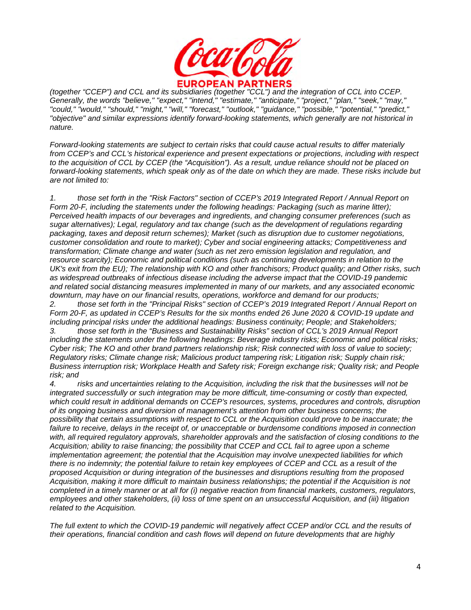

*(together "CCEP") and CCL and its subsidiaries (together "CCL") and the integration of CCL into CCEP. Generally, the words "believe," "expect," "intend," "estimate," "anticipate," "project," "plan," "seek," "may," "could," "would," "should," "might," "will," "forecast," "outlook," "guidance," "possible," "potential," "predict," "objective" and similar expressions identify forward-looking statements, which generally are not historical in nature.* 

*Forward-looking statements are subject to certain risks that could cause actual results to differ materially from CCEP's and CCL's historical experience and present expectations or projections, including with respect*  to the acquisition of CCL by CCEP (the "Acquisition"). As a result, undue reliance should not be placed on *forward-looking statements, which speak only as of the date on which they are made. These risks include but are not limited to:* 

*1. those set forth in the "Risk Factors" section of CCEP's 2019 Integrated Report / Annual Report on Form 20-F, including the statements under the following headings: Packaging (such as marine litter); Perceived health impacts of our beverages and ingredients, and changing consumer preferences (such as sugar alternatives); Legal, regulatory and tax change (such as the development of regulations regarding packaging, taxes and deposit return schemes); Market (such as disruption due to customer negotiations, customer consolidation and route to market); Cyber and social engineering attacks; Competitiveness and transformation; Climate change and water (such as net zero emission legislation and regulation, and resource scarcity); Economic and political conditions (such as continuing developments in relation to the UK's exit from the EU); The relationship with KO and other franchisors; Product quality; and Other risks, such as widespread outbreaks of infectious disease including the adverse impact that the COVID-19 pandemic and related social distancing measures implemented in many of our markets, and any associated economic downturn, may have on our financial results, operations, workforce and demand for our products;* 

*2. those set forth in the "Principal Risks" section of CCEP's 2019 Integrated Report / Annual Report on Form 20-F, as updated in CCEP's Results for the six months ended 26 June 2020 & COVID-19 update and including principal risks under the additional headings: Business continuity; People; and Stakeholders; 3. those set forth in the "Business and Sustainability Risks" section of CCL's 2019 Annual Report* 

*including the statements under the following headings: Beverage industry risks; Economic and political risks; Cyber risk; The KO and other brand partners relationship risk; Risk connected with loss of value to society; Regulatory risks; Climate change risk; Malicious product tampering risk; Litigation risk; Supply chain risk; Business interruption risk; Workplace Health and Safety risk; Foreign exchange risk; Quality risk; and People risk; and* 

*4. risks and uncertainties relating to the Acquisition, including the risk that the businesses will not be integrated successfully or such integration may be more difficult, time-consuming or costly than expected, which could result in additional demands on CCEP's resources, systems, procedures and controls, disruption of its ongoing business and diversion of management's attention from other business concerns; the possibility that certain assumptions with respect to CCL or the Acquisition could prove to be inaccurate; the*  failure to receive, delays in the receipt of, or unacceptable or burdensome conditions imposed in connection with, all required regulatory approvals, shareholder approvals and the satisfaction of closing conditions to the *Acquisition; ability to raise financing; the possibility that CCEP and CCL fail to agree upon a scheme implementation agreement; the potential that the Acquisition may involve unexpected liabilities for which there is no indemnity; the potential failure to retain key employees of CCEP and CCL as a result of the proposed Acquisition or during integration of the businesses and disruptions resulting from the proposed Acquisition, making it more difficult to maintain business relationships; the potential if the Acquisition is not completed in a timely manner or at all for (i) negative reaction from financial markets, customers, regulators, employees and other stakeholders, (ii) loss of time spent on an unsuccessful Acquisition, and (iii) litigation related to the Acquisition.* 

*The full extent to which the COVID-19 pandemic will negatively affect CCEP and/or CCL and the results of their operations, financial condition and cash flows will depend on future developments that are highly*